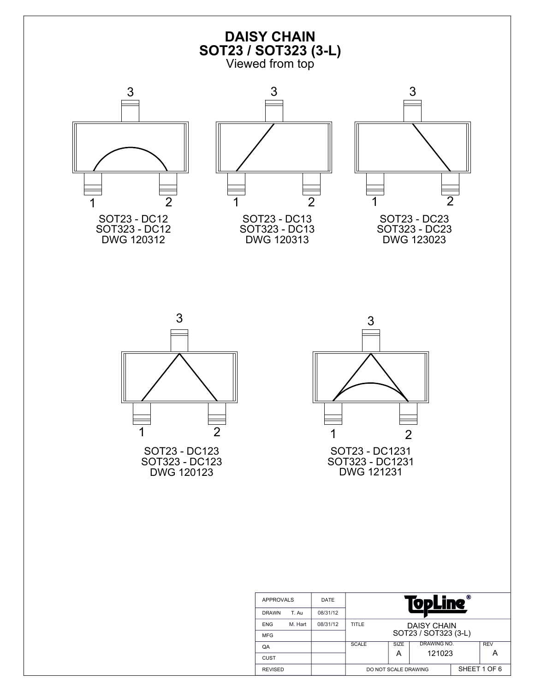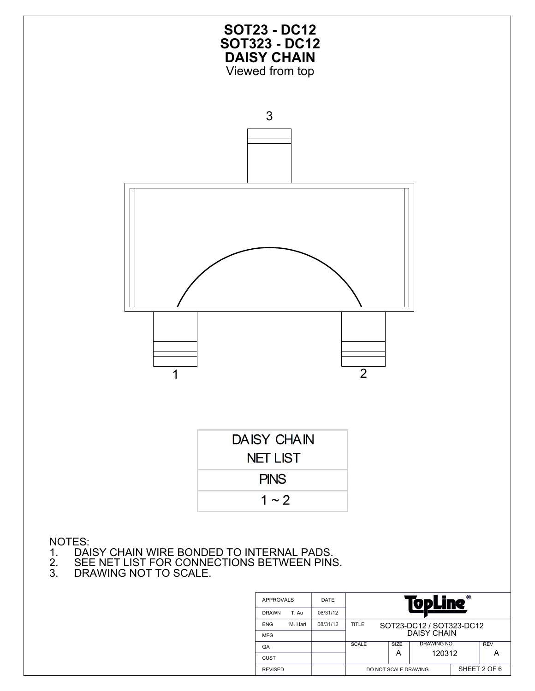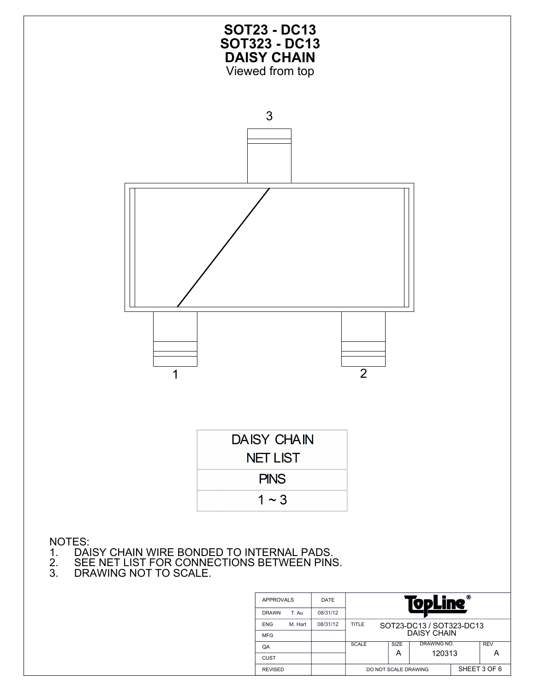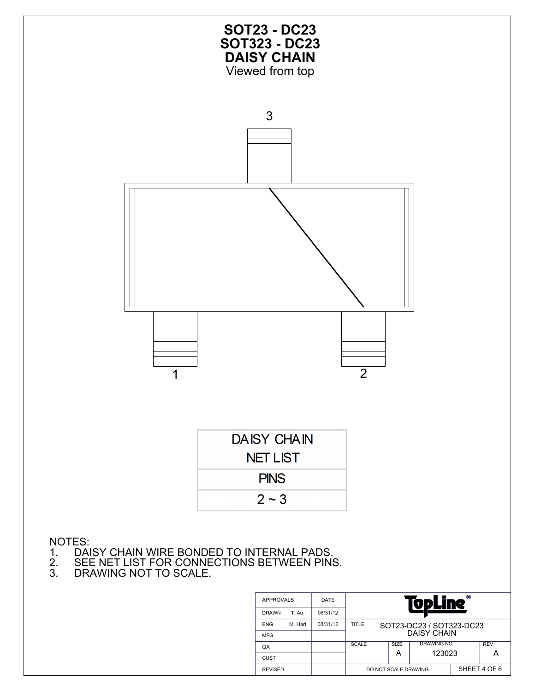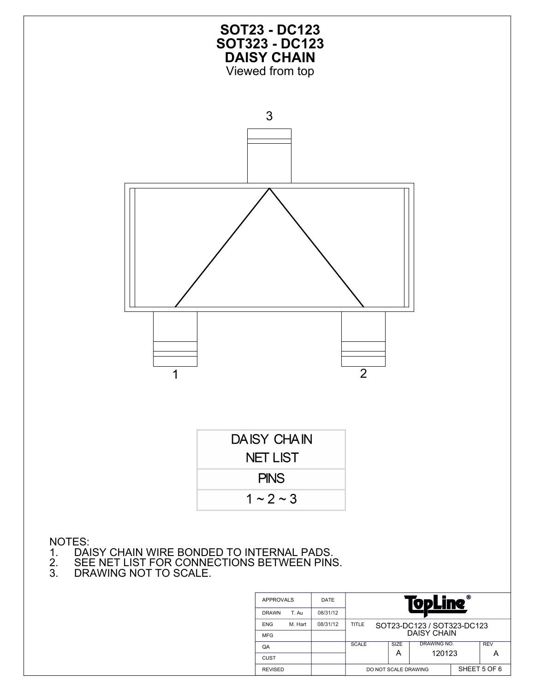